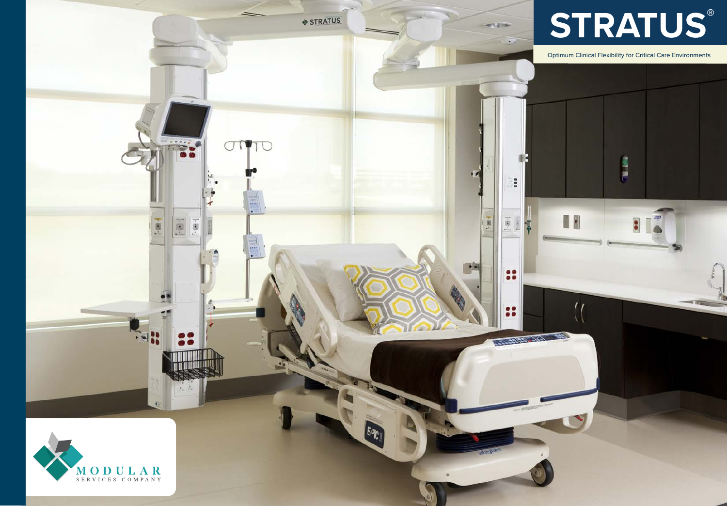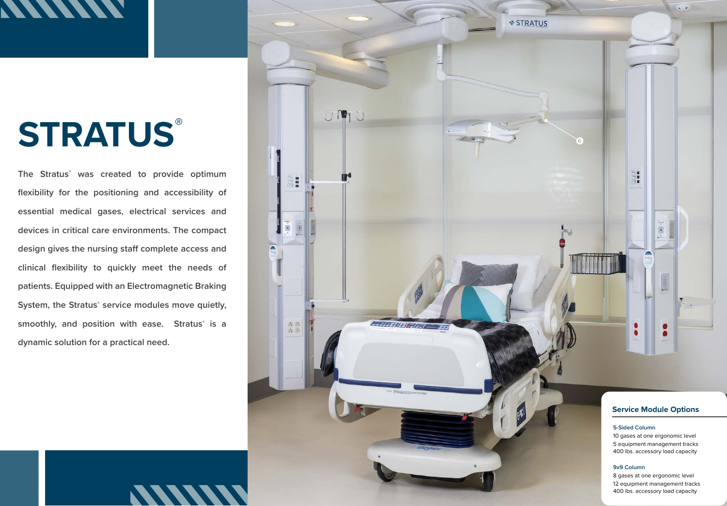# **MINING**

# **STRATUS®**

**The Stratus® was created to provide optimum flexibility for the positioning and accessibility of essential medical gases, electrical services and devices in critical care environments. The compact**  design gives the nursing staff complete access and **clinical flexibility to quickly meet the needs of patients. Equipped with an Electromagnetic Braking System, the Stratus® service modules move quietly, smoothly, and position with ease. Stratus® is a dynamic solution for a practical need.**

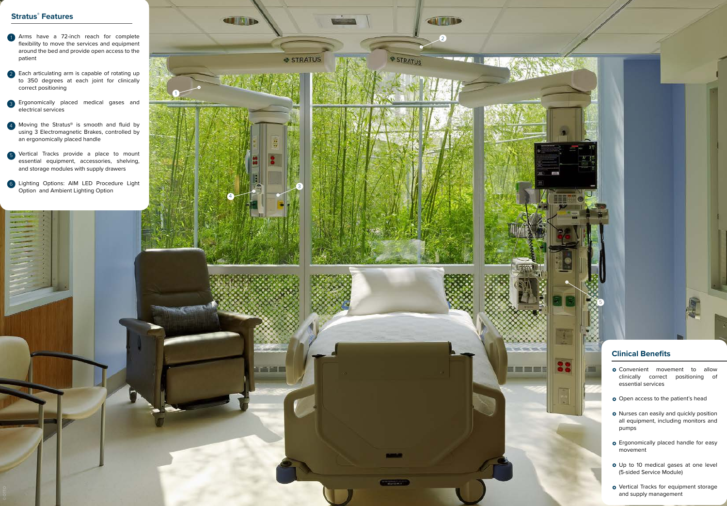#### **Stratus ® Features**

- Arms have a 72-inch reach for complete flexibility to move the services and equipment around the bed and provide open access to the patient
- 2 Each articulating arm is capable of rotating up to 350 degrees at each joint for clinically correct positioning  $\begin{bmatrix} 2 \\ 3 \\ 4 \end{bmatrix}$  (5
- **E**rgonomically placed medical gases and electrical services
- 4 Moving the Stratus<sup>®</sup> is smooth and fluid by using 3 Electromagnetic Brakes, controlled by an ergonomically placed handle
- Vertical Tracks provide a place to mount essential equipment, accessories, shelving, and storage modules with supply drawers
- 6 Lighting Options: AIM LED Procedure Light Option and Ambient Lighting Option